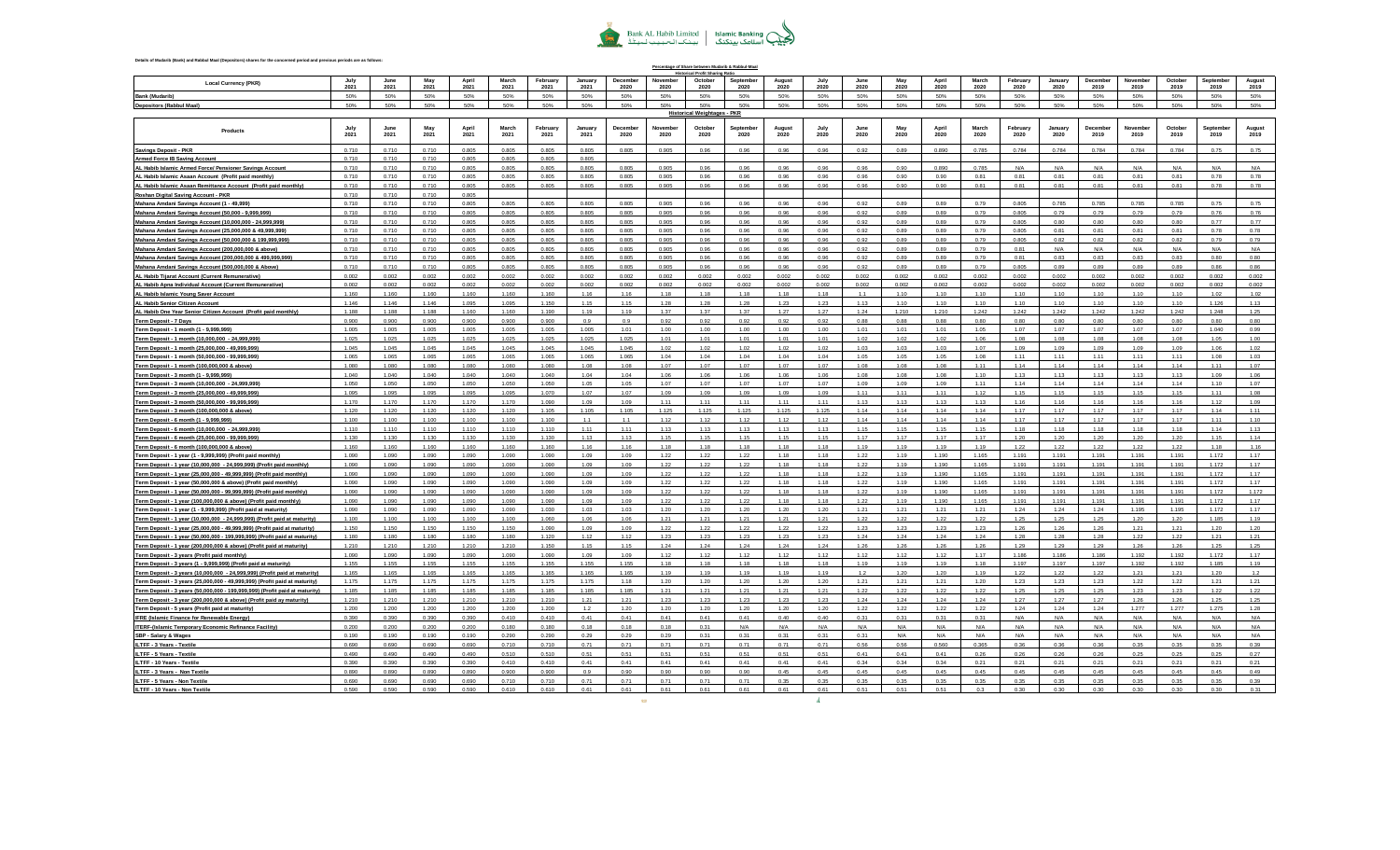

|                                                                                                                                                         |                |                     |                |                |                |                  |                      |                  |                  | Percentage of Share between Mudarib & Rabbul-Maa<br>ical Profit Sharing Ratio |                   |                |              |              |              |                |                |                  |                       |                  |                  |                       |                   |                |
|---------------------------------------------------------------------------------------------------------------------------------------------------------|----------------|---------------------|----------------|----------------|----------------|------------------|----------------------|------------------|------------------|-------------------------------------------------------------------------------|-------------------|----------------|--------------|--------------|--------------|----------------|----------------|------------------|-----------------------|------------------|------------------|-----------------------|-------------------|----------------|
| <b>Local Currency (PKR)</b>                                                                                                                             | July<br>2021   | <b>June</b><br>2021 | May<br>2021    | Anril<br>2021  | March<br>2021  | February<br>2021 | January<br>2021      | December<br>2020 | November<br>2020 | October<br>2020                                                               | September<br>2020 | August<br>2020 | July<br>2020 | June<br>2020 | May<br>2020  | April<br>2020  | March<br>2020  | February<br>2020 | January<br>2020       | December<br>2019 | November<br>2019 | October<br>2019       | Sentember<br>2019 | August<br>2019 |
| <b>Bank (Mudarib)</b>                                                                                                                                   | 50%            | 50%                 | 50%            | 50%            | 50%            | 50%              | 50%                  | 50%              | 50%              | 50%                                                                           | 50%               | 50%            | 50%          | 50%          | 50%          | 50%            | 50%            | 50%              | 50%                   | 50%              | 50%              | 50%                   | 50%               | 50%            |
| <b>Depositors (Rabbul Maal)</b>                                                                                                                         | 50%            | 50%                 | 50%            | 50%            | 50%            | 50%              | 50%                  | 50%              | 50%              | 50%<br><b>Historical Weightages - PKR</b>                                     | 50%               | 50%            | 50%          | 50%          | 50%          | 50%            | 50%            | 50%              | 50%                   | 50%              | 50%              | 50%                   | 50%               | 50%            |
| Products                                                                                                                                                | July<br>2021   | June<br>2021        | May<br>2021    | Anril<br>2021  | March<br>2021  | February<br>2021 | January<br>2021      | December<br>2020 | Novembe<br>2020  | Octobe<br>2020                                                                | Septembe<br>2020  | August<br>2020 | July<br>2020 | June<br>2020 | May<br>2020  | April<br>2020  | March<br>2020  | February<br>2020 | January<br>2020       | December<br>2019 | November<br>2019 | October<br>2019       | Septembe<br>2019  | August<br>2019 |
| <b>Savings Deposit - PKR</b>                                                                                                                            | 0.710          | 0.710               | 0.710          | 0.805          | 0.805          | 0.805            | 0.805                | 0.805            | 0.905            | 0.96                                                                          | 0.96              | 0.96           | 0.96         | 0.92         | 0.89         | 0.890          | 0.785          | 0.784            | 0.784                 | 0.784            | 0.784            | 0.784                 | 0.75              | 0.75           |
| <b>Armed Force IB Saving Account</b>                                                                                                                    | 0.710          | 0.710               | 0.710          | 0.805          | 0.805          | 0.805            | 0.805                |                  |                  |                                                                               |                   |                |              |              |              |                |                |                  |                       |                  |                  |                       |                   |                |
| AL Habib Islamic Armed Force/ Pensioner Savings Account                                                                                                 | 0.710          | 0.710               | 0.710          | 0.805          | 0.805          | 0.805            | 0.805                | 0.805            | 0.905            | 0.96                                                                          | 0.96              | 0.96           | 0.96         | 0.96         | 0.90         | 0.890          | 0.785          | N/A              | N/A                   | N/A              | N/A              | N/A                   | N/A               | N/A            |
| AL Habib Islamic Asaan Account (Profit paid monthly)                                                                                                    | 0.710          | 0.710               | 0.710          | 0.805          | 0.805          | 0.805            | 0.805                | 0.805            | 0.905            | 0.96                                                                          | 0.96              | 0.96           | 0.96         | 0.96         | 0.90         | 0.90           | 0.81           | 0.81             | 0.81                  | 0.81             | 0.81             | 0.81                  | 0.78              | 0.78           |
| AL Habib Islamic Asaan Remittance Account (Profit paid monthly)                                                                                         | 0.710<br>0.710 | 0.710<br>0.710      | 0.710<br>0.710 | 0.805<br>0.805 | 0.805          | 0.805            | 0.805                | 0.805            | 0.905            | 0.96                                                                          | 0.96              | 0.96           | 0.96         | 0.96         | 0.90         | 0.90           | 0.81           | 0.81             | 0.81                  | 0.81             | 0.81             | 0.81                  | 0.78              | 0.78           |
| Roshan Digital Saving Account - PKR<br>Mahana Amdani Savings Account (1 - 49,999)                                                                       | 0.710          | 0.710               | 0.710          | 0.805          | 0.805          | 0.805            | 0.805                | 0.805            | 0.905            | 0.96                                                                          | 0.96              | 0.96           | 0.96         | 0.92         | 0.89         | 0.89           | 0.79           | 0.805            | 0.785                 | 0.785            | 0.785            | 0.785                 | 0.75              | 0.75           |
| Mahana Amdani Savings Account (50,000 - 9,999,999)                                                                                                      | 0.710          | 0.710               | 0.710          | 0.805          | 0.805          | 0.805            | 0.805                | 0.805            | 0.905            | 0.96                                                                          | 0.96              | 0.96           | 0.96         | 0.92         | 0.89         | 0.89           | 0.79           | 0.805            | 0.79                  | 0.79             | 0.79             | 0.79                  | 0.76              | 0.76           |
| Mahana Amdani Savings Account (10,000,000 - 24,999,999)                                                                                                 | 0.710          | 0.710               | 0.710          | 0.805          | 0.805          | 0.805            | 0.805                | 0.805            | 0.905            | 0.96                                                                          | 0.96              | 0.96           | 0.96         | 0.92         | 0.89         | 0.89           | 0.79           | 0.805            | 0.80                  | 0.80             | 0.80             | 0.80                  | 0.77              | 0.77           |
| Mahana Amdani Savings Account (25,000,000 & 49,999,999)                                                                                                 | 0.710          | 0.710               | 0.710          | 0.805          | 0.805          | 0.805            | 0.805                | 0.805            | 0.905            | 0.96                                                                          | 0.96              | 0.96           | 0.96         | 0.92         | 0.89         | 0.89           | 0.79           | 0.805            | 0.81                  | 0.81             | 0.81             | 0.81                  | 0.78              | 0.78           |
| Mahana Amdani Savings Account (50,000,000 & 199,999,999)                                                                                                | 0.710          | 0.710               | 0.710          | 0.805          | 0.805          | 0.805            | 0.805                | 0.805            | 0.905            | 0.96                                                                          | 0.96              | 0.96           | 0.96         | 0.92         | 0.89         | 0.89           | 0.79           | 0.805            | 0.82                  | 0.82             | 0.82             | 0.82                  | 0.79              | 0.79           |
| Mahana Amdani Savings Account (200,000,000 & above)                                                                                                     | 0.710          | 0.710               | 0.710          | 0.805          | 0.805          | 0.805            | 0.805                | 0.805            | 0.905            | 0.96                                                                          | 0.96              | 0.96           | 0.96         | 0.92         | 0.89         | 0.89           | 0.79           | 0.81             | N/A                   | N/A              | N/A              | N/A                   | $N/\Delta$        | N/A            |
| Mahana Amdani Savings Account (200,000,000 & 499,999,999)<br>Mahana Amdani Savings Account (500,000,000 & Above)                                        | 0.710<br>0.710 | 0.710<br>0.710      | 0.710<br>0.710 | 0.805<br>0.805 | 0.805<br>0.805 | 0.805<br>0.805   | 0.805<br>0.805       | 0.805<br>0.805   | 0.905<br>0.905   | 0.96<br>0.96                                                                  | 0.96<br>0.96      | 0.96<br>0.96   | 0.96<br>0.96 | 0.92<br>0.92 | 0.85<br>0.89 | 0.89<br>0.89   | 0.79<br>0.79   | 0.81<br>0.805    | 0.83<br>0.89          | 0.83<br>0.89     | 0.83<br>0.89     | 0.83<br>0.89          | 0.80<br>0.86      | 0.80<br>0.86   |
| AL Habib Tijarat Account (Current Remunerative)                                                                                                         | 0.002          | 0.002               | 0.002          | 0.002          | 0.002          | 0.002            | 0.002                | 0.002            | 0.002            | 0.002                                                                         | 0.002             | 0.002          | 0.002        | 0.002        | 0.002        | 0.002          | 0.002          | 0.002            | 0.002                 | 0.002            | 0.002            | 0.002                 | 0.002             | 0.002          |
| AL Habib Apna Individual Account (Current Remunerative)                                                                                                 | 0.002          | 0.002               | 0.002          | 0.002          | 0.002          | 0.002            | 0.002                | 0.002            | 0.002            | 0.002                                                                         | 0.002             | 0.002          | 0.002        | 0.002        | 0.002        | 0.002          | 0.002          | 0.002            | 0.002                 | 0.002            | 0.002            | 0.002                 | 0.002             | 0.002          |
| AL Habib Islamic Young Saver Account                                                                                                                    | 1.160          | 1.160               | 1.160          | 1.160          | 1.160          | 1.160            | 1.16                 | 1.16             | 1.18             | 1.18                                                                          | 1.18              | 1.18           | 1.18         | 1.1          | 1.10         | 1.10           | 1.10           | 1.10             | 1.10                  | 1.10             | 1.10             | 1.10                  | 1.02              | 1.02           |
| AL Habib Senior Citizen Account                                                                                                                         | 1.146          | 1.146               | 1.146          | 1.095          | 1.095          | 1.150            | 1.15                 | 1.15             | 1.28             | 1.28                                                                          | 1.28              | 1.23           | 1.23         | 1.13         | 1.10         | 1.10           | 1.10           | 1.10             | 1.10                  | 1.10             | 1.10             | 1.10                  | 1.126             | 1.13           |
| AL Habib One Year Senior Citizen Account (Profit paid monthly)                                                                                          | 1.188          | 1 1 8 8             | 1 188          | 1.160          | 1.160          | 1.190            | 1 1 0                | 1 1 9            | 137              | 1.37                                                                          | 1.37              | 1.27           | 1.27         | 1.24         | 1.210        | 1.210          | 1.242          | 1.242            | 1.242                 | 1.242            | 1.242            | 1.242                 | 1.248             | 1.25           |
| <b>Term Deposit - 7 Days</b>                                                                                                                            | 0.900          | 0.900               | 0.900          | 0.900          | 0.900          | 0.900            | 0.9                  | 0.9              | 0.92             | 0.92                                                                          | 0.92              | 0.92           | 0.92         | 0.88         | 0.88         | 0.88           | 0.80           | 0.80             | 0.80                  | 0.80             | 0.80             | 0.80                  | 0.80              | 0.80           |
| Term Deposit - 1 month (1 - 9,999,999)                                                                                                                  | 1.005<br>1.025 | 1.005<br>1.025      | 1.005<br>1.025 | 1.005<br>1.025 | 1.005<br>1.025 | 1.005<br>1.025   | 1.005<br>1.025       | 1.01<br>1.025    | 1.00<br>1.01     | 1.00<br>1.01                                                                  | 1.00<br>1.01      | 1.00<br>1.01   | 1.00<br>1.01 | 1.01<br>1.02 | 1.01<br>1.02 | 1.01<br>1.02   | 1.05<br>1.06   | 1.07<br>1.08     | 1.07<br>1.08          | 1.07<br>1.08     | 1.07<br>1.08     | 1.07<br>1.08          | 1.040<br>1.05     | 0.99<br>1.00   |
| Term Deposit - 1 month (10,000,000 - 24,999,999)<br>Term Deposit - 1 month (25,000,000 - 49,999,999)                                                    | 1.045          | 1.045               | 1.045          | 1.045          | 1.045          | 1.045            | 1.045                | 1.045            | 1.02             | 1.02                                                                          | 1.02              | 1.02           | 1.02         | 1.03         | 1.03         | 1.03           | 1.07           | 1.09             | 1.09                  | 1.09             | 1.09             | 1.09                  | 1.06              | 1.02           |
| Term Deposit - 1 month (50,000,000 - 99,999,999)                                                                                                        | 1.065          | 1.065               | 1.065          | 1.065          | 1.065          | 1.065            | 1.065                | 1.065            | 1.04             | 1.04                                                                          | 1.04              | 1.04           | 1.04         | 1.05         | 1.05         | 1.05           | 1.08           | 1.11             | 1.11                  | 1.11             | 1.11             | 1.11                  | 1.08              | 1.03           |
| Term Deposit - 1 month (100,000,000 & above)                                                                                                            | 1.080          | 1.080               | 1.080          | 1.080          | 1.080          | 1.080            | 1.08                 | 1.08             | 1.07             | 1.07                                                                          | 1.07              | 1.07           | 1.07         | 1.08         | 1.08         | 1.08           | 1.11           | 1.14             | 1.14                  | 1.14             | 1.14             | 1.14                  | 1.11              | 1.07           |
| Term Deposit - 3 month (1 - 9,999,999)                                                                                                                  | 1.040          | 1.040               | 1.040          | 1.040          | 1.040          | 1.040            | 1.04                 | 1.04             | 1.06             | 1.06                                                                          | 1.06              | 1.06           | 1.06         | 1.08         | 1.08         | 1.08           | 1.10           | 1.13             | 1.13                  | 1.13             | 1.13             | 1.13                  | 1.09              | 1.06           |
| Term Deposit - 3 month (10,000,000 - 24,999,999)                                                                                                        | 1.050          | 1.050               | 1.050          | 1.050          | 1.050          | 1.050            | 1.05                 | 1.05             | 1.07             | 1.07                                                                          | 1.07              | 1.07           | 1.07         | 1.09         | 1.09         | 1.09           | 1.11           | 1.14             | 1.14                  | 1.14             | 1.14             | 1.14                  | 1.10              | 1.07           |
| Term Deposit - 3 month (25,000,000 - 49,999,999)                                                                                                        | 1.095<br>1.170 | 1.095<br>1.170      | 1.095<br>1.170 | 1.095<br>1.170 | 1.095<br>1.170 | 1.070<br>1.090   | 1.07<br>1.09         | 1.07<br>1.09     | 1.09<br>1.11     | 1.09<br>1.11                                                                  | 1.09<br>1.11      | 1.09<br>1.11   | 1.09<br>1.11 | 1.11<br>1.13 | 1.11<br>1.13 | 1.11<br>1.13   | 1.12<br>1.13   | 1.15<br>1.16     | 1.15<br>1.16          | 1.15<br>1.16     | 1.15<br>1.16     | 1.15<br>1.16          | 1.11<br>1.12      | 1.08<br>1.09   |
| Term Deposit - 3 month (50,000,000 - 99,999,999)<br>Term Deposit - 3 month (100,000,000 & above)                                                        | 1.120          | 1.120               | 1.120          | 1.120          | 1.120          | 1.105            | 1.105                | 1.105            | 1.125            | 1.125                                                                         | 1.125             | 1.125          | 1.125        | 1.14         | 1.14         | 114            | 1.14           | 1.17             | 1 17                  | 1 1 7            | 1.17             | 1 17                  | 1.14              | 1.11           |
| Term Deposit - 6 month (1 - 9,999,999)                                                                                                                  | 1.100          | 1.100               | 1.100          | 1.100          | 1.100          | 1.100            | 1.1                  | 1.1              | 1.12             | 1.12                                                                          | 1.12              | 1.12           | 1.12         | 1.14         | 1.14         | 1.14           | 1.14           | 1.17             | 1.17                  | 1.17             | 1.17             | 1.17                  | 1.11              | 1.10           |
| Term Deposit - 6 month (10,000,000 - 24,999,999)                                                                                                        | 1.110          | 1.110               | 1.110          | 1.110          | 1.110          | 1.110            | 1.11                 | 1.11             | 1.13             | 1.13                                                                          | 1.13              | 1.13           | 1.13         | 1.15         | 1.15         | 1.15           | 1.15           | 1.18             | 1.18                  | 1.18             | 1.18             | 1.18                  | 1.14              | 1.13           |
| Term Deposit - 6 month (25,000,000 - 99,999,999)                                                                                                        | 1.130          | 1.130               | 1.130          | 1.130          | 1.130          | 1.130            | 1.13                 | 1.13             | 1.15             | 1.15                                                                          | 1.15              | 1.15           | 1.15         | 1.17         | 1.17         | 1.17           | 1.17           | 1.20             | 1.20                  | 1.20             | 1.20             | 1.20                  | 1.15              | 1.14           |
| Term Deposit - 6 month (100,000,000 & above)                                                                                                            | 1.160          | 1.160               | 1.160          | 1.160          | 1.160          | 1.160            | 1.16                 | 1.16             | 1.18             | 1.18                                                                          | 1.18              | 1.18           | 1.18         | 1.19         | 1.19         | 1.19           | 1.19           | 1.22             | 1.22                  | 1.22             | 1.22             | 1.22                  | 1.18              | 1.16           |
| Term Deposit - 1 year (1 - 9,999,999) (Profit paid monthly)                                                                                             | 1.090          | 1.090               | 1.090<br>1.090 | 1.090<br>1.090 | 1.090<br>1.090 | 1.090<br>1.090   | 1.09<br>1.09         | 1.09<br>1.09     | 1.22<br>1.22     | 1.22<br>1.22                                                                  | 1.22              | 1.18<br>1.18   | 1.18<br>1.18 | 1.22         | 1.19<br>1.19 | 1.190<br>1.190 | 1.165<br>1.165 | 1.191<br>1.191   | 1.191<br>1.191        | 1.191<br>1.191   | 1.191<br>1.191   | 1.191<br>1.191        | 1.172<br>1.172    | 1.17<br>1.17   |
| Term Deposit - 1 year (10,000,000 - 24,999,999) (Profit paid monthly)<br>Term Deposit - 1 year (25,000,000 - 49,999,999) (Profit paid monthly)          | 1.090<br>1.090 | 1.090<br>1.090      | 1.090          | 1.090          | 1.090          | 1.090            | 1.09                 | 1.09             | 1.22             | 1.22                                                                          | 1.22<br>1.22      | 1.18           | 1.18         | 1.22<br>1.22 | 1.19         | 1.190          | 1.165          | 1.191            | 1.191                 | 1.191            | 1.191            | 1.191                 | 1.172             | 1.17           |
| Term Deposit - 1 year (50,000,000 & above) (Profit paid monthly)                                                                                        | 1.090          | 1.090               | 1.090          | 1.090          | 1.090          | 1.090            | 1.09                 | 1.09             | 1.22             | 1.22                                                                          | 1.22              | 1.18           | 1.18         | 1.22         | 1.19         | 1.190          | 1.165          | 1.191            | 1.191                 | 1.191            | 1.191            | 1.191                 | 1.172             | 1.17           |
| Term Deposit - 1 year (50,000,000 - 99,999,999) (Profit paid monthly)                                                                                   | 1.090          | 1.090               | 1.090          | 1.090          | 1.090          | 1.090            | 1.09                 | 1.09             | 1.22             | 1.22                                                                          | 1.22              | 1.18           | 1.18         | 1.22         | 1.19         | 1.190          | 1.165          | 1.191            | 1.191                 | 1.191            | 1.191            | 1.191                 | 1.172             | 1.172          |
| Term Deposit - 1 year (100,000,000 & above) (Profit paid monthly)                                                                                       | 1.090          | 1.090               | 1.090          | 1.090          | 1.090          | 1.090            | 1.09                 | 1.09             | 1.22             | 1.22                                                                          | 1.22              | 1.18           | 1.18         | 1.22         | 1.19         | 1.190          | 1.165          | 1.191            | 1.191                 | 1.191            | 1.191            | 1.191                 | 1.172             | 1.17           |
| Term Deposit - 1 year (1 - 9,999,999) (Profit paid at maturity                                                                                          | 1.090          | 1.090               | 1.090          | 1.090          | 1.090          | 1.030            | 1.03                 | 1.03             | 1.20             | 1.20                                                                          | 1.20              | 1.20           | 1.20         | 1.21         | 1.21         | 1.21           | 1.21           | 1.24             | 1.24                  | 1.24             | 1.195            | 1.195                 | 1.172             | 1.17           |
| Term Deposit - 1 year (10,000,000 - 24,999,999) (Profit paid at maturity)                                                                               | 1.100<br>1.150 | 1.100<br>1.150      | 1.100<br>1.150 | 1.100<br>1.150 | 1.100<br>1.150 | 1.060<br>1.090   | 1.06<br>1.09         | 1.06<br>1.09     | 1.21<br>1.22     | 1.21<br>1.22                                                                  | 1.21<br>1.22      | 1.21<br>1.22   | 1.21<br>1.22 | 1.22<br>1.23 | 1.22<br>1.23 | 1.22<br>1.23   | 1.22<br>1.23   | 1.25<br>1.26     | 1.25<br>1.26          | 1.25<br>1.26     | 1.20<br>1.21     | 1.20<br>1.21          | 1.185<br>1.20     | 1.19<br>1.20   |
| Term Deposit - 1 year (25,000,000 - 49,999,999) (Profit paid at maturity)<br>Term Deposit - 1 year (50,000,000 - 199,999,999) (Profit paid at maturity) | 1.180          | 1.180               | 1.180          | 1.180          | 1.180          | 1.120            | 1.12                 | 1.12             | 1.23             | 1.23                                                                          | 1.23              | 1.23           | 1.23         | 1.24         | 1.24         | 1.24           | 1.24           | 1.28             | 1.28                  | 1.28             | 1.22             | 1.22                  | 1.21              | 1.21           |
| Term Deposit - 1 year (200,000,000 & above) (Profit paid at maturity)                                                                                   | 1.210          | 1.210               | 1.210          | 1.210          | 1.210          | 1.150            | 1.15                 | 1.15             | 1.24             | 1.24                                                                          | 1.24              | 1.24           | 1.24         | 1.26         | 1.26         | 1.26           | 1.26           | 1.29             | 1.29                  | 1.29             | 1.26             | 1.26                  | 1.25              | 1.25           |
| Term Deposit - 3 years (Profit paid monthly)                                                                                                            | 1.090          | 1.090               | 1.090          | 1.090          | 1.090          | 1.090            | 1.09                 | 1.09             | 1.12             | 1.12                                                                          | 1.12              | 1.12           | 1.12         | 1.12         | 1.12         | 1.12           | 1.17           | 1.186            | 1.186                 | 1.186            | 1.192            | 1.192                 | 1.172             | 1.17           |
| Term Deposit - 3 years (1 - 9,999,999) (Profit paid at maturity)                                                                                        | 1.155          | 1.155               | 1.155          | 1.155          | 1.155          | 1.155            | 1.155                | 1.155            | 1.18             | 1.18                                                                          | 1.18              | 1.18           | 1.18         | 1.19         | 1.19         | 1.19           | 1.18           | 1.197            | 1.197                 | 1.197            | 1.192            | 1.192                 | 1.185             | 1.19           |
| Term Deposit - 3 years (10,000,000 - 24,999,999) (Profit paid at maturity)                                                                              | 1.165          | 1.165               | 1.165          | 1.165          | 1.165          | 1.165            | 1.165                | 1.165            | 1.19             | 1.19                                                                          | 1.19              | 1.19           | 1.19         | 1.2          | 1.20         | 1.20           | 1.19           | 1.22             | 1.22                  | 1.22             | 1.21             | 1.21                  | 1.20              | 1.2            |
| Term Deposit - 3 years (25,000,000 - 49,999,999) (Profit paid at maturity)                                                                              | 1.175          | 1.175               | 1.175          | 1.175          | 1.175          | 1.175            | 1.175                | 1.18             | 1.20             | 1.20                                                                          | 1.20              | 1.20           | 1.20         | 1.21         | 1.21         | 1.21           | 1.20           | 1.23             | 1.23                  | 1.23             | 1.22             | 1.22                  | 1.21              | 1.21           |
| Term Deposit - 3 years (50,000,000 - 199,999,999) (Profit paid at maturity)                                                                             | 1.185<br>1.210 | 1.185<br>1.210      | 1.185<br>1.210 | 1.185<br>1.210 | 1.185<br>1.210 | 1.185<br>1.210   | 1.185<br>1.21        | 1.185<br>1.21    | 1.21<br>1.23     | 1.21<br>1.23                                                                  | 1.21<br>1.23      | 1.21<br>1.23   | 1.21<br>1.23 | 1.22<br>1.24 | 1.22<br>1.24 | 1.22<br>1.24   | 1.22<br>1.24   | 1.25<br>1.27     | 1.25<br>1.27          | 1.25<br>1.27     | 1.23<br>1.26     | 1.23<br>1.26          | 1.22<br>1.25      | 1.22<br>1.25   |
| Term Deposit - 3 year (200,000,000 & above) (Profit paid ay maturity)<br>Term Deposit - 5 years (Profit paid at maturity)                               | 1.200          | 1.200               | 1.200          | 1.200          | 1.200          | 1.200            | 1.2                  | 1.20             | 1.20             | 1.20                                                                          | 1.20              | 1.20           | 1.20         | 1.22         | 1.22         | 1.22           | 1.22           | 1.24             | 1.24                  | 1.24             | 1.277            | 1.277                 | 1.275             | 1.28           |
| <b>IFRE (Islamic Finance for Renewable Energy</b>                                                                                                       | 0.390          | 0.390               | 0.390          | 0.390          | 0.410          | 0.410            | 0.41                 | 0.41             | 0.41             | 0.41                                                                          | 0.41              | 0.40           | 0.40         | 0.31         | 0.31         | 0.31           | 0.31           | N/A              | N/A                   | N/A              | N/A              | N/A                   | N/A               | N/A            |
| <b>ITERF-(Islamic Temporary Economic Refinance Facility)</b>                                                                                            | 0.200          | 0.200               | 0.200          | 0.200          | 0.180          | 0.180            | 0.18                 | 0.18             | 0.18             | 0.31                                                                          | N/A               | N/A            | N/A          | N/A          | N/A          | N/A            | N/A            | N/A              | N/A                   | N/A              | N/A              | N/A                   | N/A               | N/A            |
| SBP - Salary & Wages                                                                                                                                    | 0.190          | 0.190               | 0.190          | 0.190          | 0.290          | 0.290            | 0.29                 | 0.29             | 0.29             | 0.31                                                                          | 0.31              | 0.31           | 0.31         | 0.31         | N/f          | N/A            | N/A            | N/A              | N/L                   | N/A              | N/A              | N/A                   | N/A               | N/A            |
| ILTFF - 3 Years - Textile                                                                                                                               | 0.690          | 0.690               | 0.690          | 0.690          | 0.710          | 0.710            | 0.71                 | 0.71             | 0.71             | 0.71                                                                          | 0.71              | 0.71           | 0.71         | 0.56         | 0.56         | 0.560          | 0.365          | 0.36             | 0.36                  | 0.36             | 0.35             | 0.35                  | 0.35              | 0.39           |
| ILTFF - 5 Years - Textile                                                                                                                               | 0.490          | 0.490               | 0.490          | 0.490          | 0.510          | 0.510            | 0.51                 | 0.51             | 0.51             | 0.51                                                                          | 0.51              | 0.51<br>0.41   | 0.51         | 0.41         | 0.41<br>0.34 | 0.41           | 0.26           | 0.26             | 0.26                  | 0.26             | 0.25             | 0.25                  | 0.25              | 0.27           |
| ILTFF - 10 Years - Textile<br>ILTFF - 3 Years - Non Textile                                                                                             | 0.390<br>0.890 | 0.390<br>0.890      | 0.390<br>0.890 | 0.390<br>0.890 | 0.410<br>0.900 | 0.410<br>0.900   | $0.4^{\circ}$<br>0.9 | 0.41<br>0.90     | 0.41<br>0.90     | 0.41<br>0.90                                                                  | 0.41<br>0.90      | 0.45           | 0.41<br>0.45 | 0.34<br>0.45 | 0.45         | 0.34<br>0.45   | 0.21<br>0.45   | 0.21<br>0.45     | $0.2^{\circ}$<br>0.45 | 0.21<br>0.45     | 0.21<br>0.45     | $0.2^{\circ}$<br>0.45 | 0.21<br>0.45      | 0.21<br>0.49   |
| ILTFF - 5 Years - Non Textile                                                                                                                           | 0.690          | 0.690               | 0.690          | 0.690          | 0.710          | 0.710            | 0.71                 | 0.71             | 0.71             | 0.71                                                                          | 0.71              | 0.35           | 0.35         | 0.35         | 0.35         | 0.35           | 0.35           | 0.35             | 0.35                  | 0.35             | 0.35             | 0.35                  | 0.35              | 0.39           |
| <b>ILTEE - 10 Venre - Non Toytil</b>                                                                                                                    | 0.590          | 0.590               | 0.590          | 0.590          | 0.610          | 0.610            | 0.61                 | 0.61             | 0.61             | 0.61                                                                          | 0.61              | 0.61           | 0.61         | 0.51         | 0.51         | 0.51           | 0.2            | 0.30             | 0.20                  | 0.20             | 0.30             | 0.20                  | 0.20              | 0.21           |

 $\mathcal{A}$ 

 $-0.05$